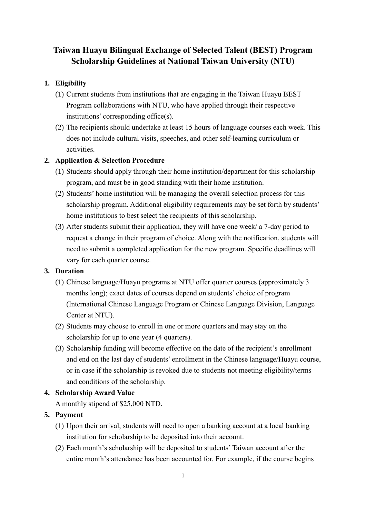# **Taiwan Huayu Bilingual Exchange of Selected Talent (BEST) Program Scholarship Guidelines at National Taiwan University (NTU)**

## **1. Eligibility**

- (1) Current students from institutions that are engaging in the Taiwan Huayu BEST Program collaborations with NTU, who have applied through their respective institutions' corresponding office(s).
- (2) The recipients should undertake at least 15 hours of language courses each week. This does not include cultural visits, speeches, and other self-learning curriculum or activities.

### **2. Application & Selection Procedure**

- (1) Students should apply through their home institution/department for this scholarship program, and must be in good standing with their home institution.
- (2) Students' home institution will be managing the overall selection process for this scholarship program. Additional eligibility requirements may be set forth by students' home institutions to best select the recipients of this scholarship.
- (3) After students submit their application, they will have one week/ a 7-day period to request a change in their program of choice. Along with the notification, students will need to submit a completed application for the new program. Specific deadlines will vary for each quarter course.

#### **3. Duration**

- (1) Chinese language/Huayu programs at NTU offer quarter courses (approximately 3 months long); exact dates of courses depend on students' choice of program (International Chinese Language Program or Chinese Language Division, Language Center at NTU).
- (2) Students may choose to enroll in one or more quarters and may stay on the scholarship for up to one year (4 quarters).
- (3) Scholarship funding will become effective on the date of the recipient's enrollment and end on the last day of students' enrollment in the Chinese language/Huayu course, or in case if the scholarship is revoked due to students not meeting eligibility/terms and conditions of the scholarship.

## **4. Scholarship Award Value**

A monthly stipend of \$25,000 NTD.

#### **5. Payment**

- (1) Upon their arrival, students will need to open a banking account at a local banking institution for scholarship to be deposited into their account.
- (2) Each month's scholarship will be deposited to students' Taiwan account after the entire month's attendance has been accounted for. For example, if the course begins